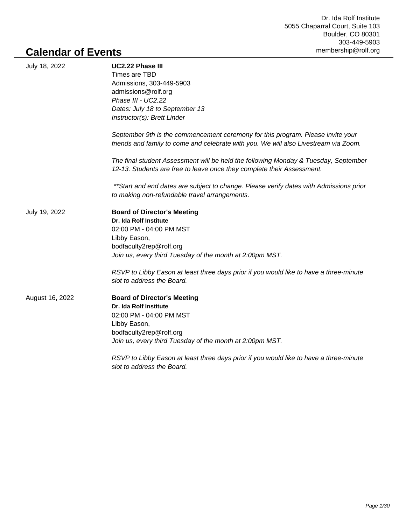## **Calendar of Events**

| July 18, 2022   | UC2.22 Phase III<br>Times are TBD                                                                                                                             |
|-----------------|---------------------------------------------------------------------------------------------------------------------------------------------------------------|
|                 | Admissions, 303-449-5903                                                                                                                                      |
|                 | admissions@rolf.org                                                                                                                                           |
|                 | Phase III - UC2.22                                                                                                                                            |
|                 | Dates: July 18 to September 13                                                                                                                                |
|                 | Instructor(s): Brett Linder                                                                                                                                   |
|                 | September 9th is the commencement ceremony for this program. Please invite your                                                                               |
|                 | friends and family to come and celebrate with you. We will also Livestream via Zoom.                                                                          |
|                 | The final student Assessment will be held the following Monday & Tuesday, September<br>12-13. Students are free to leave once they complete their Assessment. |
|                 | **Start and end dates are subject to change. Please verify dates with Admissions prior                                                                        |
|                 | to making non-refundable travel arrangements.                                                                                                                 |
| July 19, 2022   | <b>Board of Director's Meeting</b>                                                                                                                            |
|                 | Dr. Ida Rolf Institute                                                                                                                                        |
|                 | 02:00 PM - 04:00 PM MST                                                                                                                                       |
|                 | Libby Eason,                                                                                                                                                  |
|                 | bodfaculty2rep@rolf.org                                                                                                                                       |
|                 | Join us, every third Tuesday of the month at 2:00pm MST.                                                                                                      |
|                 | RSVP to Libby Eason at least three days prior if you would like to have a three-minute                                                                        |
|                 | slot to address the Board.                                                                                                                                    |
| August 16, 2022 | <b>Board of Director's Meeting</b>                                                                                                                            |
|                 | Dr. Ida Rolf Institute                                                                                                                                        |
|                 | 02:00 PM - 04:00 PM MST                                                                                                                                       |
|                 | Libby Eason,                                                                                                                                                  |
|                 | bodfaculty2rep@rolf.org                                                                                                                                       |
|                 | Join us, every third Tuesday of the month at 2:00pm MST.                                                                                                      |
|                 | RSVP to Libby Eason at least three days prior if you would like to have a three-minute                                                                        |
|                 |                                                                                                                                                               |

slot to address the Board.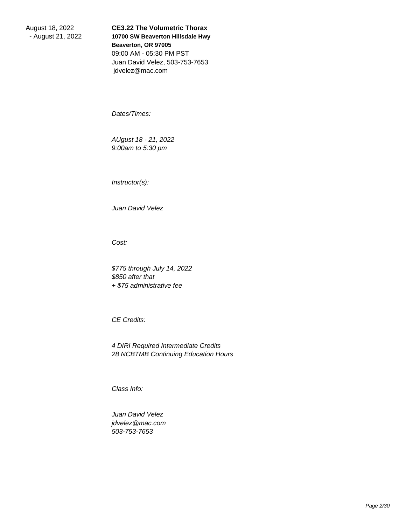August 18, 2022 - August 21, 2022

**CE3.22 The Volumetric Thorax 10700 SW Beaverton Hillsdale Hwy Beaverton, OR 97005** 09:00 AM - 05:30 PM PST Juan David Velez, 503-753-7653 jdvelez@mac.com

 Dates/Times:

 AUgust 18 - 21, 2022 9:00am to 5:30 pm

 Instructor(s):

 Juan David Velez

 Cost:

 \$775 through July 14, 2022 \$850 after that + \$75 administrative fee

 CE Credits:

 4 DIRI Required Intermediate Credits 28 NCBTMB Continuing Education Hours

 Class Info:

 Juan David Velez jdvelez@mac.com 503-753-7653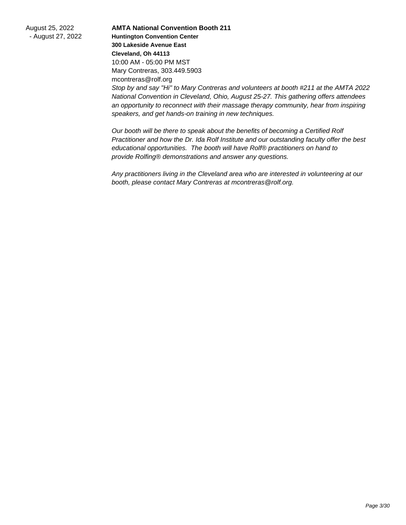August 25, 2022 - August 27, 2022

**AMTA National Convention Booth 211 Huntington Convention Center 300 Lakeside Avenue East Cleveland, Oh 44113** 10:00 AM - 05:00 PM MST Mary Contreras, 303.449.5903 mcontreras@rolf.org Stop by and say "Hi" to Mary Contreras and volunteers at booth #211 at the AMTA 2022 National Convention in Cleveland, Ohio, August 25-27. This gathering offers attendees an opportunity to reconnect with their massage therapy community, hear from inspiring speakers, and get hands-on training in new techniques.

Our booth will be there to speak about the benefits of becoming a Certified Rolf Practitioner and how the Dr. Ida Rolf Institute and our outstanding faculty offer the best educational opportunities. The booth will have Rolf® practitioners on hand to provide Rolfing® demonstrations and answer any questions.

Any practitioners living in the Cleveland area who are interested in volunteering at our booth, please contact Mary Contreras at mcontreras@rolf.org.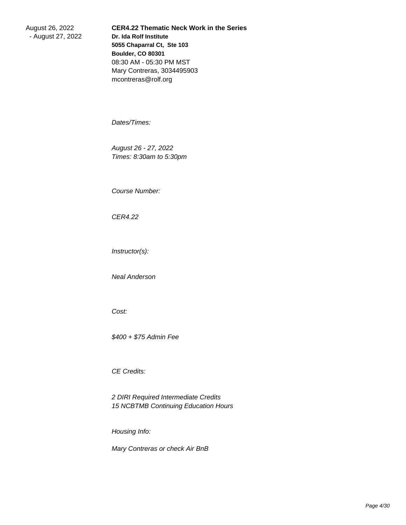August 26, 2022 - August 27, 2022 **CER4.22 Thematic Neck Work in the Series Dr. Ida Rolf Institute 5055 Chaparral Ct, Ste 103 Boulder, CO 80301** 08:30 AM - 05:30 PM MST Mary Contreras, 3034495903 mcontreras@rolf.org

 Dates/Times:

 August 26 - 27, 2022 Times: 8:30am to 5:30pm

 Course Number:

 CER4.22

 Instructor(s):

 Neal Anderson

 Cost:

 \$400 + \$75 Admin Fee

 CE Credits:

 2 DIRI Required Intermediate Credits 15 NCBTMB Continuing Education Hours

 Housing Info:

 Mary Contreras or check Air BnB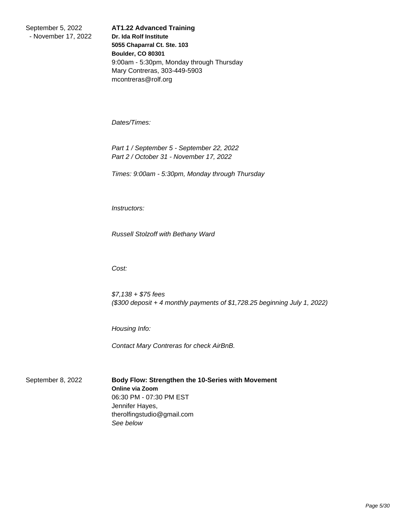September 5, 2022 - November 17, 2022 **AT1.22 Advanced Training Dr. Ida Rolf Institute 5055 Chaparral Ct. Ste. 103 Boulder, CO 80301** 9:00am - 5:30pm, Monday through Thursday Mary Contreras, 303-449-5903 mcontreras@rolf.org

 Dates/Times:

 Part 1 / September 5 - September 22, 2022 Part 2 / October 31 - November 17, 2022

 Times: 9:00am - 5:30pm, Monday through Thursday

 Instructors:

 Russell Stolzoff with Bethany Ward

 Cost:

 \$7,138 + \$75 fees (\$300 deposit + 4 monthly payments of \$1,728.25 beginning July 1, 2022)

 Housing Info:

 Contact Mary Contreras for check AirBnB.

September 8, 2022 **Body Flow: Strengthen the 10-Series with Movement Online via Zoom** 06:30 PM - 07:30 PM EST Jennifer Hayes, therolfingstudio@gmail.com See below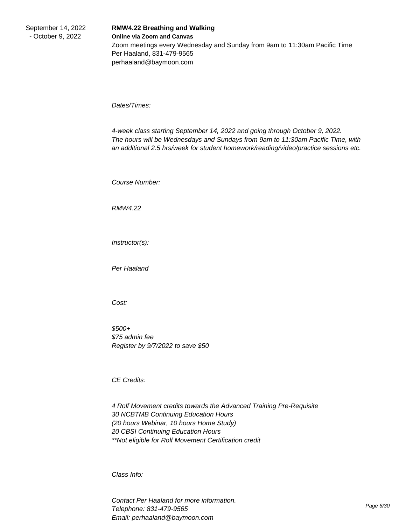## **RMW4.22 Breathing and Walking Online via Zoom and Canvas** Zoom meetings every Wednesday and Sunday from 9am to 11:30am Pacific Time Per Haaland, 831-479-9565 perhaaland@baymoon.com

 Dates/Times:

 4-week class starting September 14, 2022 and going through October 9, 2022. The hours will be Wednesdays and Sundays from 9am to 11:30am Pacific Time, with an additional 2.5 hrs/week for student homework/reading/video/practice sessions etc.

 Course Number:

 RMW4.22

 Instructor(s):

 Per Haaland

 Cost:

 \$500+ \$75 admin fee Register by 9/7/2022 to save \$50

 CE Credits:

 4 Rolf Movement credits towards the Advanced Training Pre-Requisite 30 NCBTMB Continuing Education Hours (20 hours Webinar, 10 hours Home Study) 20 CBSI Continuing Education Hours \*\*Not eligible for Rolf Movement Certification credit

 Class Info:

 Contact Per Haaland for more information. Telephone: 831-479-9565 Email: perhaaland@baymoon.com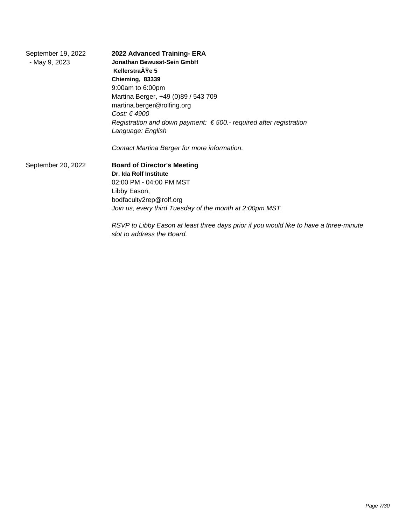| September 19, 2022<br>- May 9, 2023 | 2022 Advanced Training- ERA<br>Jonathan Bewusst-Sein GmbH                                               |
|-------------------------------------|---------------------------------------------------------------------------------------------------------|
|                                     | KellerstraŸe 5                                                                                          |
|                                     | Chieming, 83339                                                                                         |
|                                     | 9:00am to 6:00pm                                                                                        |
|                                     | Martina Berger, +49 (0)89 / 543 709                                                                     |
|                                     | martina.berger@rolfing.org                                                                              |
|                                     | Cost: € 4900                                                                                            |
|                                     | Registration and down payment: $\epsilon$ 500.- required after registration                             |
|                                     | Language: English                                                                                       |
|                                     | Contact Martina Berger for more information.                                                            |
| September 20, 2022                  | <b>Board of Director's Meeting</b>                                                                      |
|                                     | Dr. Ida Rolf Institute                                                                                  |
|                                     | 02:00 PM - 04:00 PM MST                                                                                 |
|                                     | Libby Eason,                                                                                            |
|                                     | bodfaculty2rep@rolf.org                                                                                 |
|                                     | Join us, every third Tuesday of the month at 2:00pm MST.                                                |
|                                     | RSVP to Libby Eason at least three days prior if you would like to have a<br>slot to address the Board. |

three-minute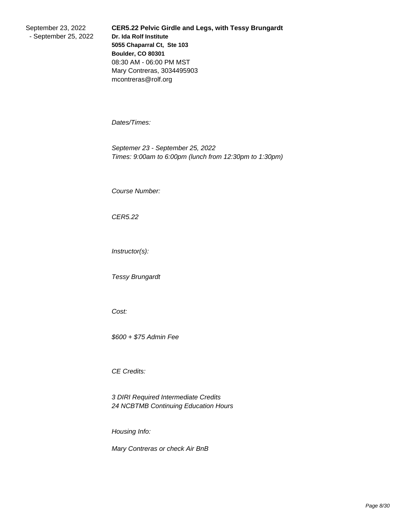September 23, 2022 - September 25, 2022 **CER5.22 Pelvic Girdle and Legs, with Tessy Brungardt Dr. Ida Rolf Institute 5055 Chaparral Ct, Ste 103 Boulder, CO 80301** 08:30 AM - 06:00 PM MST Mary Contreras, 3034495903 mcontreras@rolf.org

 Dates/Times:

 Septemer 23 - September 25, 2022 Times: 9:00am to 6:00pm (lunch from 12:30pm to 1:30pm)

 Course Number:

 CER5.22

 Instructor(s):

 Tessy Brungardt

 Cost:

 \$600 + \$75 Admin Fee

 CE Credits:

 3 DIRI Required Intermediate Credits 24 NCBTMB Continuing Education Hours

 Housing Info:

 Mary Contreras or check Air BnB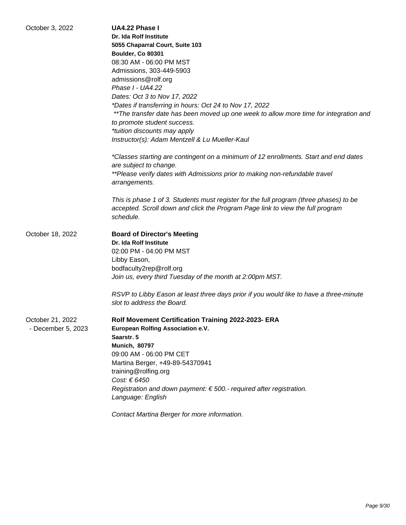| October 3, 2022    | UA4.22 Phase I                                                                         |
|--------------------|----------------------------------------------------------------------------------------|
|                    | Dr. Ida Rolf Institute                                                                 |
|                    | 5055 Chaparral Court, Suite 103                                                        |
|                    | Boulder, Co 80301                                                                      |
|                    | 08:30 AM - 06:00 PM MST                                                                |
|                    | Admissions, 303-449-5903                                                               |
|                    | admissions@rolf.org                                                                    |
|                    | Phase I - UA4.22                                                                       |
|                    | Dates: Oct 3 to Nov 17, 2022                                                           |
|                    | *Dates if transferring in hours: Oct 24 to Nov 17, 2022                                |
|                    | **The transfer date has been moved up one week to allow more time for integration and  |
|                    |                                                                                        |
|                    | to promote student success.                                                            |
|                    | *tuition discounts may apply                                                           |
|                    | Instructor(s): Adam Mentzell & Lu Mueller-Kaul                                         |
|                    | *Classes starting are contingent on a minimum of 12 enrollments. Start and end dates   |
|                    | are subject to change.                                                                 |
|                    | **Please verify dates with Admissions prior to making non-refundable travel            |
|                    | arrangements.                                                                          |
|                    |                                                                                        |
|                    | This is phase 1 of 3. Students must register for the full program (three phases) to be |
|                    | accepted. Scroll down and click the Program Page link to view the full program         |
|                    | schedule.                                                                              |
|                    |                                                                                        |
| October 18, 2022   | <b>Board of Director's Meeting</b>                                                     |
|                    | Dr. Ida Rolf Institute                                                                 |
|                    | 02:00 PM - 04:00 PM MST                                                                |
|                    | Libby Eason,                                                                           |
|                    | bodfaculty2rep@rolf.org                                                                |
|                    | Join us, every third Tuesday of the month at 2:00pm MST.                               |
|                    |                                                                                        |
|                    | RSVP to Libby Eason at least three days prior if you would like to have a three-minute |
|                    | slot to address the Board.                                                             |
|                    |                                                                                        |
| October 21, 2022   | <b>Rolf Movement Certification Training 2022-2023- ERA</b>                             |
| - December 5, 2023 | European Rolfing Association e.V.                                                      |
|                    | Saarstr. 5                                                                             |
|                    | <b>Munich, 80797</b>                                                                   |
|                    | 09:00 AM - 06:00 PM CET                                                                |
|                    | Martina Berger, +49-89-54370941                                                        |
|                    | training@rolfing.org                                                                   |
|                    | Cost: € 6450                                                                           |
|                    | Registration and down payment: $\epsilon$ 500.- required after registration.           |
|                    | Language: English                                                                      |
|                    |                                                                                        |
|                    | Contact Martina Berger for more information.                                           |
|                    |                                                                                        |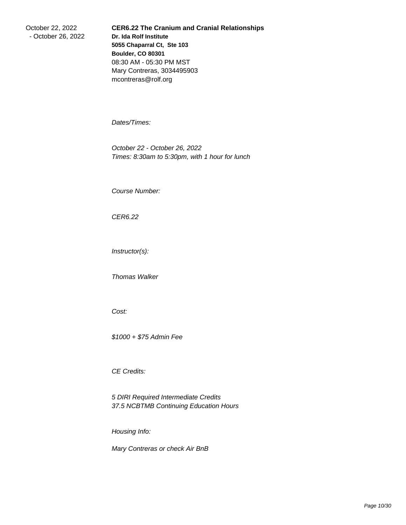October 22, 2022 - October 26, 2022 **CER6.22 The Cranium and Cranial Relationships Dr. Ida Rolf Institute 5055 Chaparral Ct, Ste 103 Boulder, CO 80301** 08:30 AM - 05:30 PM MST Mary Contreras, 3034495903 mcontreras@rolf.org

 Dates/Times:

 October 22 - October 26, 2022 Times: 8:30am to 5:30pm, with 1 hour for lunch

 Course Number:

 CER6.22

 Instructor(s):

 Thomas Walker

 Cost:

 \$1000 + \$75 Admin Fee

 CE Credits:

 5 DIRI Required Intermediate Credits 37.5 NCBTMB Continuing Education Hours

 Housing Info:

 Mary Contreras or check Air BnB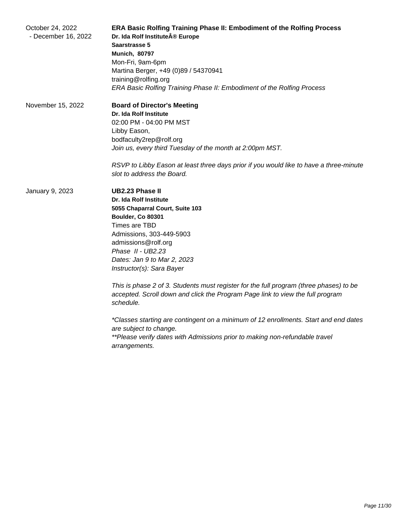| October 24, 2022<br>- December 16, 2022 | ERA Basic Rolfing Training Phase II: Embodiment of the Rolfing Process<br>Dr. Ida Rolf Institute® Europe<br>Saarstrasse 5<br><b>Munich, 80797</b><br>Mon-Fri, 9am-6pm<br>Martina Berger, +49 (0)89 / 54370941<br>training@rolfing.org<br>ERA Basic Rolfing Training Phase II: Embodiment of the Rolfing Process |
|-----------------------------------------|-----------------------------------------------------------------------------------------------------------------------------------------------------------------------------------------------------------------------------------------------------------------------------------------------------------------|
| November 15, 2022                       | <b>Board of Director's Meeting</b><br><b>Dr. Ida Rolf Institute</b><br>02:00 PM - 04:00 PM MST<br>Libby Eason,<br>bodfaculty2rep@rolf.org<br>Join us, every third Tuesday of the month at 2:00pm MST.<br>RSVP to Libby Eason at least three days prior if you would like to have a three-minute                 |
|                                         | slot to address the Board.<br><b>UB2.23 Phase II</b>                                                                                                                                                                                                                                                            |
| January 9, 2023                         | <b>Dr. Ida Rolf Institute</b><br>5055 Chaparral Court, Suite 103<br>Boulder, Co 80301<br>Times are TBD<br>Admissions, 303-449-5903<br>admissions@rolf.org<br>Phase II - UB2.23<br>Dates: Jan 9 to Mar 2, 2023<br>Instructor(s): Sara Bayer                                                                      |
|                                         | This is phase 2 of 3. Students must register for the full program (three phases) to be<br>accepted. Scroll down and click the Program Page link to view the full program<br>schedule.                                                                                                                           |
|                                         | *Classes starting are contingent on a minimum of 12 enrollments. Start and end dates<br>are subject to change.<br>**Please verify dates with Admissions prior to making non-refundable travel<br>arrangements.                                                                                                  |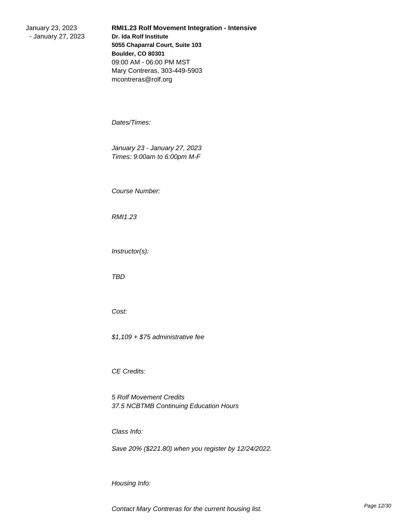January 23, 2023 - January 27, 2023 **RMI1.23 Rolf Movement Integration - Intensive Dr. Ida Rolf Institute 5055 Chaparral Court, Suite 103 Boulder, CO 80301** 09:00 AM - 06:00 PM MST Mary Contreras, 303-449-5903 mcontreras@rolf.org

 Dates/Times:

 January 23 - January 27, 2023 Times: 9:00am to 6:00pm M-F

 Course Number:

 RMI1.23

 Instructor(s):

 TBD

 Cost:

 \$1,109 + \$75 administrative fee

 CE Credits:

 5 Rolf Movement Credits 37.5 NCBTMB Continuing Education Hours

 Class Info:

 Save 20% (\$221.80) when you register by 12/24/2022.

 Housing Info: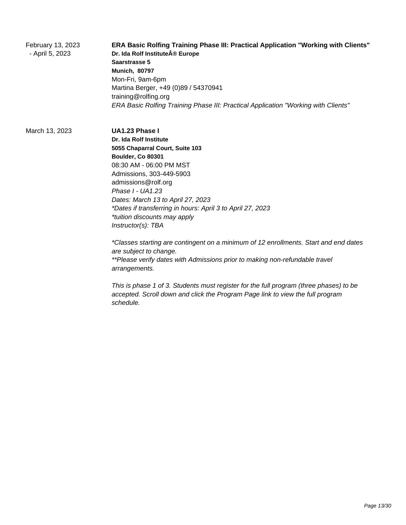February 13, 2023 - April 5, 2023 **ERA Basic Rolfing Training Phase III: Practical Application "Working with Clients" Dr. Ida Rolf Institute® Europe Saarstrasse 5 Munich, 80797** Mon-Fri, 9am-6pm Martina Berger, +49 (0)89 / 54370941 training@rolfing.org ERA Basic Rolfing Training Phase III: Practical Application "Working with Clients"

March 13, 2023 **UA1.23 Phase I**

**Dr. Ida Rolf Institute 5055 Chaparral Court, Suite 103 Boulder, Co 80301** 08:30 AM - 06:00 PM MST Admissions, 303-449-5903 admissions@rolf.org Phase I - UA1.23 Dates: March 13 to April 27, 2023 \*Dates if transferring in hours: April 3 to April 27, 2023 \*tuition discounts may apply Instructor(s): TBA

\*Classes starting are contingent on a minimum of 12 enrollments. Start and end dates are subject to change. \*\*Please verify dates with Admissions prior to making non-refundable travel arrangements.

This is phase 1 of 3. Students must register for the full program (three phases) to be accepted. Scroll down and click the Program Page link to view the full program schedule.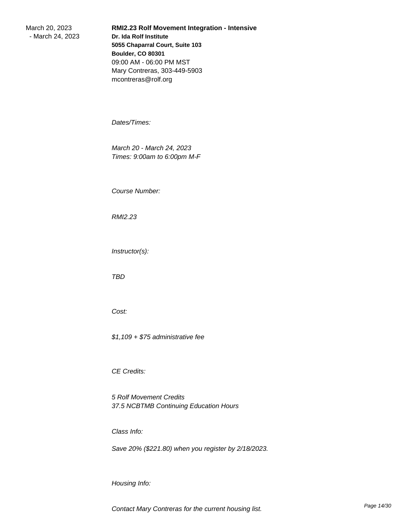March 20, 2023 - March 24, 2023 **RMI2.23 Rolf Movement Integration - Intensive Dr. Ida Rolf Institute 5055 Chaparral Court, Suite 103 Boulder, CO 80301** 09:00 AM - 06:00 PM MST Mary Contreras, 303-449-5903 mcontreras@rolf.org

 Dates/Times:

 March 20 - March 24, 2023 Times: 9:00am to 6:00pm M-F

 Course Number:

 RMI2.23

 Instructor(s):

 TBD

 Cost:

 \$1,109 + \$75 administrative fee

 CE Credits:

 5 Rolf Movement Credits 37.5 NCBTMB Continuing Education Hours

 Class Info:

 Save 20% (\$221.80) when you register by 2/18/2023.

 Housing Info: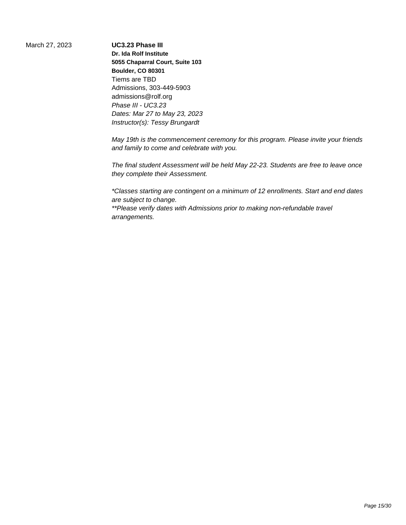March 27, 2023 **UC3.23 Phase III**

**Dr. Ida Rolf Institute 5055 Chaparral Court, Suite 103 Boulder, CO 80301** Tiems are TBD Admissions, 303-449-5903 admissions@rolf.org Phase III - UC3.23 Dates: Mar 27 to May 23, 2023 Instructor(s): Tessy Brungardt

May 19th is the commencement ceremony for this program. Please invite your friends and family to come and celebrate with you.

The final student Assessment will be held May 22-23. Students are free to leave once they complete their Assessment.

\*Classes starting are contingent on a minimum of 12 enrollments. Start and end dates are subject to change.

\*\*Please verify dates with Admissions prior to making non-refundable travel arrangements.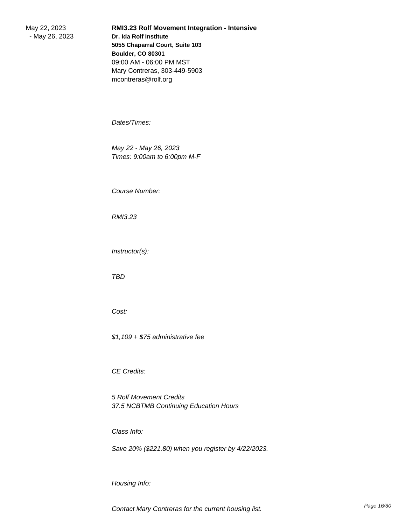May 22, 2023 - May 26, 2023 **RMI3.23 Rolf Movement Integration - Intensive Dr. Ida Rolf Institute 5055 Chaparral Court, Suite 103 Boulder, CO 80301** 09:00 AM - 06:00 PM MST Mary Contreras, 303-449-5903 mcontreras@rolf.org

 Dates/Times:

 May 22 - May 26, 2023 Times: 9:00am to 6:00pm M-F

 Course Number:

 RMI3.23

 Instructor(s):

 TBD

 Cost:

 \$1,109 + \$75 administrative fee

 CE Credits:

 5 Rolf Movement Credits 37.5 NCBTMB Continuing Education Hours

 Class Info:

 Save 20% (\$221.80) when you register by 4/22/2023.

 Housing Info: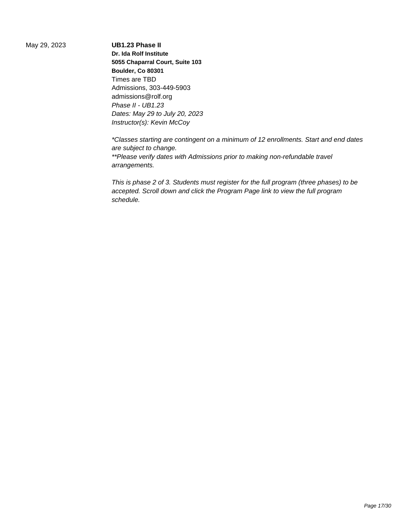May 29, 2023 **UB1.23 Phase II Dr. Ida Rolf Institute 5055 Chaparral Court, Suite 103 Boulder, Co 80301** Times are TBD Admissions, 303-449-5903 admissions@rolf.org Phase II - UB1.23 Dates: May 29 to July 20, 2023 Instructor(s): Kevin McCoy

> \*Classes starting are contingent on a minimum of 12 enrollments. Start and end dates are subject to change. \*\*Please verify dates with Admissions prior to making non-refundable travel arrangements.

This is phase 2 of 3. Students must register for the full program (three phases) to be accepted. Scroll down and click the Program Page link to view the full program schedule.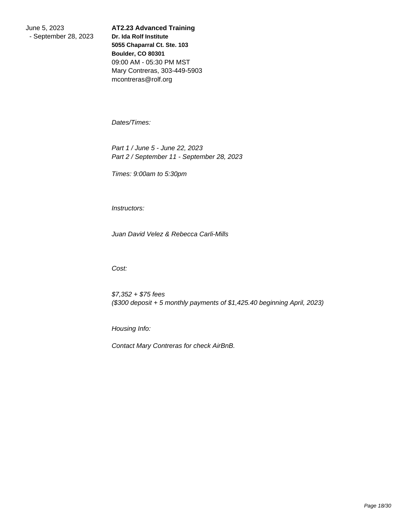June 5, 2023 - September 28, 2023

**AT2.23 Advanced Training Dr. Ida Rolf Institute 5055 Chaparral Ct. Ste. 103 Boulder, CO 80301** 09:00 AM - 05:30 PM MST Mary Contreras, 303-449-5903 mcontreras@rolf.org

 Dates/Times:

 Part 1 / June 5 - June 22, 2023 Part 2 / September 11 - September 28, 2023

 Times: 9:00am to 5:30pm

 Instructors:

 Juan David Velez & Rebecca Carli-Mills

 Cost:

 \$7,352 + \$75 fees (\$300 deposit + 5 monthly payments of \$1,425.40 beginning April, 2023)

 Housing Info:

 Contact Mary Contreras for check AirBnB.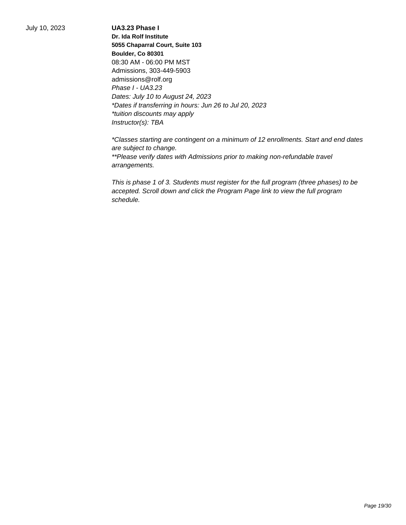July 10, 2023 **UA3.23 Phase I**

**Dr. Ida Rolf Institute 5055 Chaparral Court, Suite 103 Boulder, Co 80301** 08:30 AM - 06:00 PM MST Admissions, 303-449-5903 admissions@rolf.org Phase I - UA3.23 Dates: July 10 to August 24, 2023 \*Dates if transferring in hours: Jun 26 to Jul 20, 2023 \*tuition discounts may apply Instructor(s): TBA

\*Classes starting are contingent on a minimum of 12 enrollments. Start and end dates are subject to change. \*\*Please verify dates with Admissions prior to making non-refundable travel arrangements.

This is phase 1 of 3. Students must register for the full program (three phases) to be accepted. Scroll down and click the Program Page link to view the full program schedule.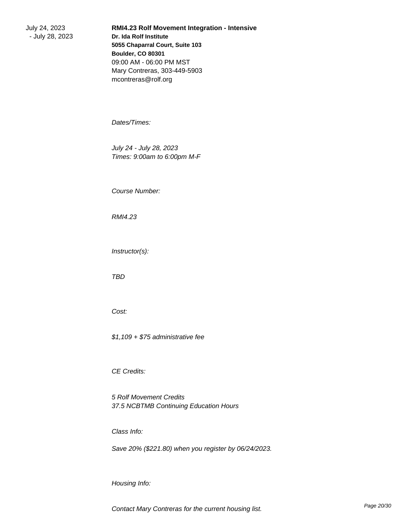July 24, 2023 - July 28, 2023 **RMI4.23 Rolf Movement Integration - Intensive Dr. Ida Rolf Institute 5055 Chaparral Court, Suite 103 Boulder, CO 80301** 09:00 AM - 06:00 PM MST Mary Contreras, 303-449-5903 mcontreras@rolf.org

 Dates/Times:

 July 24 - July 28, 2023 Times: 9:00am to 6:00pm M-F

 Course Number:

 RMI4.23

 Instructor(s):

 TBD

 Cost:

 \$1,109 + \$75 administrative fee

 CE Credits:

 5 Rolf Movement Credits 37.5 NCBTMB Continuing Education Hours

 Class Info:

 Save 20% (\$221.80) when you register by 06/24/2023.

 Housing Info: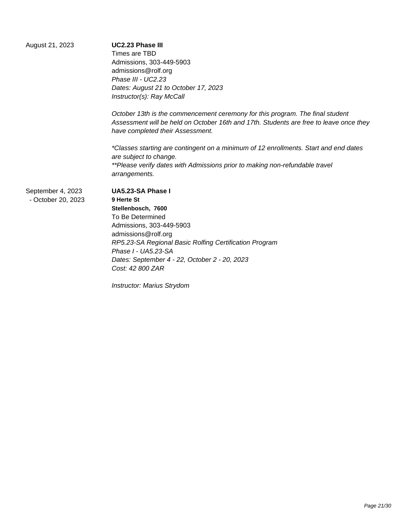| August 21, 2023    | UC2.23 Phase III                                                                                                                                                                                            |
|--------------------|-------------------------------------------------------------------------------------------------------------------------------------------------------------------------------------------------------------|
|                    | Times are TBD                                                                                                                                                                                               |
|                    | Admissions, 303-449-5903                                                                                                                                                                                    |
|                    | admissions@rolf.org                                                                                                                                                                                         |
|                    | Phase III - UC2.23                                                                                                                                                                                          |
|                    | Dates: August 21 to October 17, 2023                                                                                                                                                                        |
|                    | Instructor(s): Ray McCall                                                                                                                                                                                   |
|                    | October 13th is the commencement ceremony for this program. The final student<br>Assessment will be held on October 16th and 17th. Students are free to leave once they<br>have completed their Assessment. |
|                    | *Classes starting are contingent on a minimum of 12 enrollments. Start and end dates<br>are subject to change.                                                                                              |
|                    | **Please verify dates with Admissions prior to making non-refundable travel<br>arrangements.                                                                                                                |
| September 4, 2023  | UA5.23-SA Phase I                                                                                                                                                                                           |
| - October 20, 2023 | 9 Herte St                                                                                                                                                                                                  |
|                    | Stellenbosch, 7600                                                                                                                                                                                          |
|                    | To Be Determined                                                                                                                                                                                            |
|                    | Admissions, 303-449-5903                                                                                                                                                                                    |
|                    | admissions@rolf.org                                                                                                                                                                                         |
|                    | RP5.23-SA Regional Basic Rolfing Certification Program                                                                                                                                                      |
|                    | Phase I - UA5.23-SA                                                                                                                                                                                         |
|                    | Dates: September 4 - 22, October 2 - 20, 2023                                                                                                                                                               |
|                    | Cost: 42 800 ZAR                                                                                                                                                                                            |

Instructor: Marius Strydom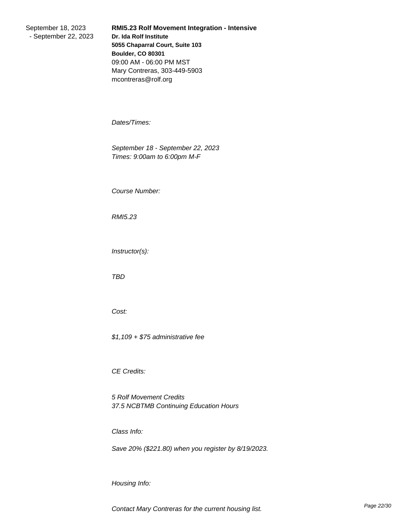September 18, 2023 - September 22, 2023 **RMI5.23 Rolf Movement Integration - Intensive Dr. Ida Rolf Institute 5055 Chaparral Court, Suite 103 Boulder, CO 80301** 09:00 AM - 06:00 PM MST Mary Contreras, 303-449-5903 mcontreras@rolf.org

 Dates/Times:

 September 18 - September 22, 2023 Times: 9:00am to 6:00pm M-F

 Course Number:

 RMI5.23

 Instructor(s):

 TBD

 Cost:

 \$1,109 + \$75 administrative fee

 CE Credits:

 5 Rolf Movement Credits 37.5 NCBTMB Continuing Education Hours

 Class Info:

 Save 20% (\$221.80) when you register by 8/19/2023.

 Housing Info: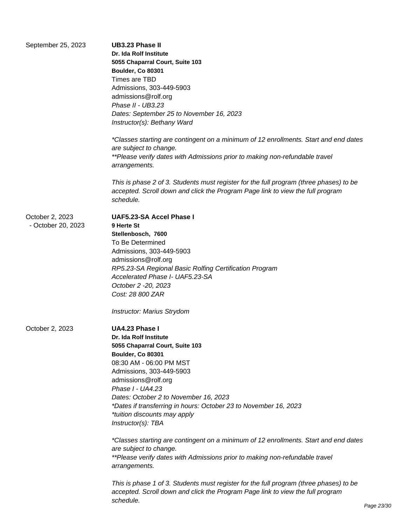| September 25, 2023                    | <b>UB3.23 Phase II</b><br>Dr. Ida Rolf Institute<br>5055 Chaparral Court, Suite 103<br>Boulder, Co 80301<br>Times are TBD<br>Admissions, 303-449-5903<br>admissions@rolf.org<br>Phase II - UB3.23<br>Dates: September 25 to November 16, 2023<br>Instructor(s): Bethany Ward                                                                                                                                                                                                                                                                                                                                                                                                                                                                                                     |
|---------------------------------------|----------------------------------------------------------------------------------------------------------------------------------------------------------------------------------------------------------------------------------------------------------------------------------------------------------------------------------------------------------------------------------------------------------------------------------------------------------------------------------------------------------------------------------------------------------------------------------------------------------------------------------------------------------------------------------------------------------------------------------------------------------------------------------|
|                                       | *Classes starting are contingent on a minimum of 12 enrollments. Start and end dates<br>are subject to change.<br>**Please verify dates with Admissions prior to making non-refundable travel<br>arrangements.                                                                                                                                                                                                                                                                                                                                                                                                                                                                                                                                                                   |
|                                       | This is phase 2 of 3. Students must register for the full program (three phases) to be<br>accepted. Scroll down and click the Program Page link to view the full program<br>schedule.                                                                                                                                                                                                                                                                                                                                                                                                                                                                                                                                                                                            |
| October 2, 2023<br>- October 20, 2023 | <b>UAF5.23-SA Accel Phase I</b><br>9 Herte St<br>Stellenbosch, 7600<br>To Be Determined<br>Admissions, 303-449-5903<br>admissions@rolf.org<br>RP5.23-SA Regional Basic Rolfing Certification Program<br>Accelerated Phase I- UAF5.23-SA<br>October 2 -20, 2023<br>Cost: 28 800 ZAR<br><b>Instructor: Marius Strydom</b>                                                                                                                                                                                                                                                                                                                                                                                                                                                          |
| October 2, 2023                       | UA4.23 Phase I<br>Dr. Ida Rolf Institute<br>5055 Chaparral Court, Suite 103<br>Boulder, Co 80301<br>08:30 AM - 06:00 PM MST<br>Admissions, 303-449-5903<br>admissions@rolf.org<br>Phase I - UA4.23<br>Dates: October 2 to November 16, 2023<br>*Dates if transferring in hours: October 23 to November 16, 2023<br>*tuition discounts may apply<br>Instructor(s): TBA<br>*Classes starting are contingent on a minimum of 12 enrollments. Start and end dates<br>are subject to change.<br>**Please verify dates with Admissions prior to making non-refundable travel<br>arrangements.<br>This is phase 1 of 3. Students must register for the full program (three phases) to be<br>accepted. Scroll down and click the Program Page link to view the full program<br>schedule. |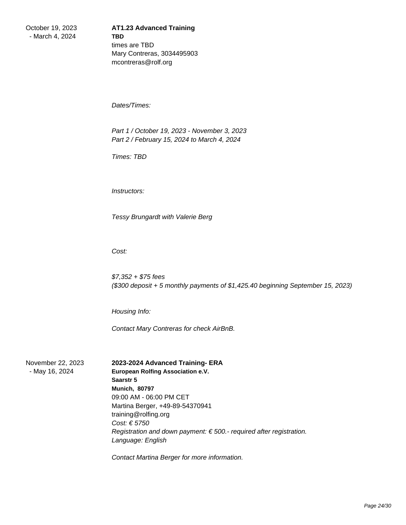October 19, 2023 - March 4, 2024

## **AT1.23 Advanced Training TBD** times are TBD Mary Contreras, 3034495903 mcontreras@rolf.org

 Dates/Times:

 Part 1 / October 19, 2023 - November 3, 2023 Part 2 / February 15, 2024 to March 4, 2024

 Times: TBD

 Instructors:

 Tessy Brungardt with Valerie Berg

 Cost:

 \$7,352 + \$75 fees (\$300 deposit + 5 monthly payments of \$1,425.40 beginning September 15, 2023)

 Housing Info:

 Contact Mary Contreras for check AirBnB.

November 22, 2023 - May 16, 2024

## **2023-2024 Advanced Training- ERA**

**European Rolfing Association e.V. Saarstr 5 Munich, 80797** 09:00 AM - 06:00 PM CET Martina Berger, +49-89-54370941 training@rolfing.org Cost: € 5750 Registration and down payment:  $\epsilon$  500.- required after registration. Language: English

Contact Martina Berger for more information.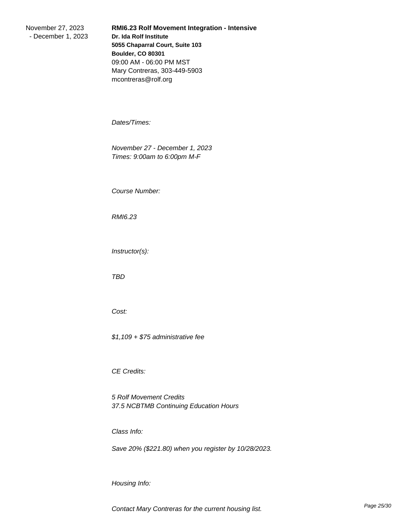November 27, 2023 - December 1, 2023 **RMI6.23 Rolf Movement Integration - Intensive Dr. Ida Rolf Institute 5055 Chaparral Court, Suite 103 Boulder, CO 80301** 09:00 AM - 06:00 PM MST Mary Contreras, 303-449-5903 mcontreras@rolf.org

 Dates/Times:

 November 27 - December 1, 2023 Times: 9:00am to 6:00pm M-F

 Course Number:

 RMI6.23

 Instructor(s):

 TBD

 Cost:

 \$1,109 + \$75 administrative fee

 CE Credits:

 5 Rolf Movement Credits 37.5 NCBTMB Continuing Education Hours

 Class Info:

 Save 20% (\$221.80) when you register by 10/28/2023.

 Housing Info: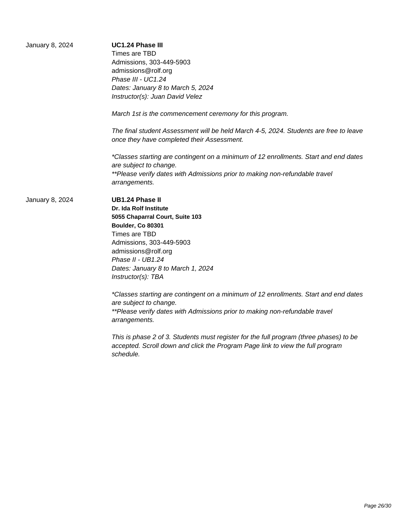| January 8, 2024 | UC1.24 Phase III<br>Times are TBD<br>Admissions, 303-449-5903<br>admissions@rolf.org<br>Phase III - UC1.24<br>Dates: January 8 to March 5, 2024<br>Instructor(s): Juan David Velez                                                                           |
|-----------------|--------------------------------------------------------------------------------------------------------------------------------------------------------------------------------------------------------------------------------------------------------------|
|                 | March 1st is the commencement ceremony for this program.                                                                                                                                                                                                     |
|                 | The final student Assessment will be held March 4-5, 2024. Students are free to leave<br>once they have completed their Assessment.                                                                                                                          |
|                 | *Classes starting are contingent on a minimum of 12 enrollments. Start and end dates<br>are subject to change.<br>**Please verify dates with Admissions prior to making non-refundable travel<br>arrangements.                                               |
| January 8, 2024 | <b>UB1.24 Phase II</b><br>Dr. Ida Rolf Institute<br>5055 Chaparral Court, Suite 103<br>Boulder, Co 80301<br>Times are TBD<br>Admissions, 303-449-5903<br>admissions@rolf.org<br>Phase II - UB1.24<br>Dates: January 8 to March 1, 2024<br>Instructor(s): TBA |
|                 | *Classes starting are contingent on a minimum of 12 enrollments. Start and end dates<br>are subject to change.<br>**Please verify dates with Admissions prior to making non-refundable travel<br>arrangements.                                               |
|                 | This is phase 2 of 3. Students must register for the full program (three phases) to be<br>accepted. Scroll down and click the Program Page link to view the full program<br>schedule.                                                                        |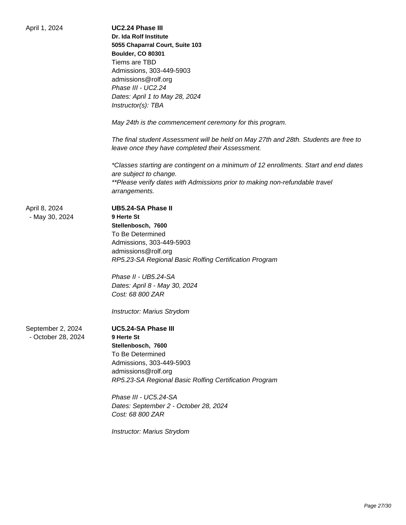| April 1, 2024      | <b>UC2.24 Phase III</b>                                                              |
|--------------------|--------------------------------------------------------------------------------------|
|                    | Dr. Ida Rolf Institute                                                               |
|                    | 5055 Chaparral Court, Suite 103                                                      |
|                    | <b>Boulder, CO 80301</b>                                                             |
|                    | Tiems are TBD                                                                        |
|                    | Admissions, 303-449-5903                                                             |
|                    | admissions@rolf.org                                                                  |
|                    | Phase III - UC2.24                                                                   |
|                    | Dates: April 1 to May 28, 2024                                                       |
|                    | Instructor(s): TBA                                                                   |
|                    | May 24th is the commencement ceremony for this program.                              |
|                    | The final student Assessment will be held on May 27th and 28th. Students are free to |
|                    | leave once they have completed their Assessment.                                     |
|                    | *Classes starting are contingent on a minimum of 12 enrollments. Start and end dates |
|                    | are subject to change.                                                               |
|                    | **Please verify dates with Admissions prior to making non-refundable travel          |
|                    | arrangements.                                                                        |
| April 8, 2024      | <b>UB5.24-SA Phase II</b>                                                            |
| - May 30, 2024     | 9 Herte St                                                                           |
|                    | Stellenbosch, 7600                                                                   |
|                    | To Be Determined                                                                     |
|                    | Admissions, 303-449-5903                                                             |
|                    | admissions@rolf.org                                                                  |
|                    | RP5.23-SA Regional Basic Rolfing Certification Program                               |
|                    | Phase II - UB5.24-SA                                                                 |
|                    | Dates: April 8 - May 30, 2024                                                        |
|                    | Cost: 68 800 ZAR                                                                     |
|                    | Instructor: Marius Strydom                                                           |
| September 2, 2024  | UC5.24-SA Phase III                                                                  |
| - October 28, 2024 | 9 Herte St                                                                           |
|                    | Stellenbosch, 7600                                                                   |
|                    | To Be Determined                                                                     |
|                    | Admissions, 303-449-5903                                                             |
|                    | admissions@rolf.org                                                                  |
|                    | RP5.23-SA Regional Basic Rolfing Certification Program                               |
|                    | Phase III - UC5.24-SA                                                                |
|                    | Dates: September 2 - October 28, 2024                                                |
|                    | Cost: 68 800 ZAR                                                                     |
|                    | Instructor: Marius Strydom                                                           |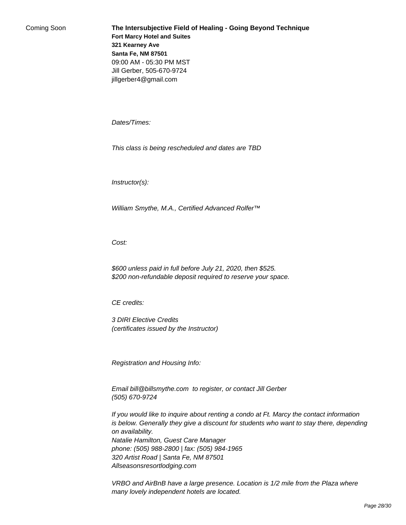Coming Soon **The Intersubjective Field of Healing - Going Beyond Technique Fort Marcy Hotel and Suites 321 Kearney Ave Santa Fe, NM 87501** 09:00 AM - 05:30 PM MST Jill Gerber, 505-670-9724 jillgerber4@gmail.com

 Dates/Times:

 This class is being rescheduled and dates are TBD

 Instructor(s):

William Smythe, M.A., Certified Advanced Rolfer™

 Cost:

 \$600 unless paid in full before July 21, 2020, then \$525. \$200 non-refundable deposit required to reserve your space.

 CE credits:

 3 DIRI Elective Credits (certificates issued by the Instructor)

 Registration and Housing Info:

 Email bill@billsmythe.com to register, or contact Jill Gerber (505) 670-9724

 If you would like to inquire about renting a condo at Ft. Marcy the contact information is below. Generally they give a discount for students who want to stay there, depending on availability.

 Natalie Hamilton, Guest Care Manager phone: (505) 988-2800 | fax: (505) 984-1965 320 Artist Road | Santa Fe, NM 87501 Allseasonsresortlodging.com

 VRBO and AirBnB have a large presence. Location is 1/2 mile from the Plaza where many lovely independent hotels are located.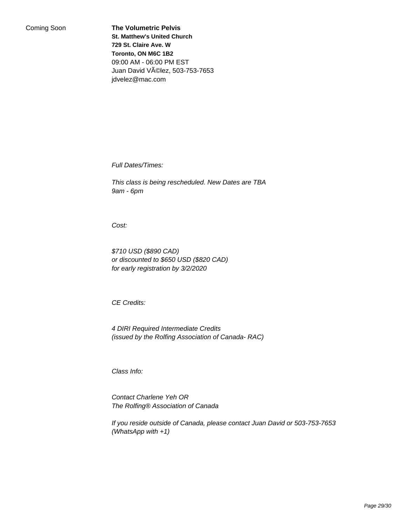Coming Soon **The Volumetric Pelvis St. Matthew's United Church 729 St. Claire Ave. W Toronto, ON M6C 1B2** 09:00 AM - 06:00 PM EST Juan David Vélez, 503-753-7653 jdvelez@mac.com

 Full Dates/Times:

 This class is being rescheduled. New Dates are TBA 9am - 6pm

 Cost:

 \$710 USD (\$890 CAD) or discounted to \$650 USD (\$820 CAD) for early registration by 3/2/2020

 CE Credits:

 4 DIRI Required Intermediate Credits (issued by the Rolfing Association of Canada- RAC)

 Class Info:

 Contact Charlene Yeh OR The Rolfing® Association of Canada

 If you reside outside of Canada, please contact Juan David or 503-753-7653 (WhatsApp with +1)